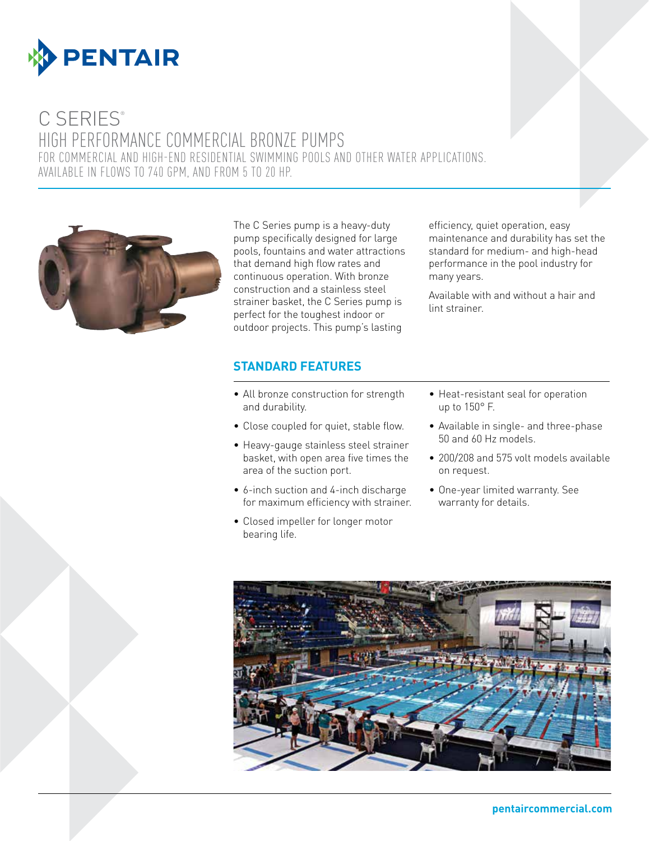

# C SERIES®

High Performance Commercial Bronze Pumps For commercial and high-end residential swimming pools and other water applications. Available in flows to 740 GPM, and from 5 to 20 HP.



The C Series pump is a heavy-duty pump specifically designed for large pools, fountains and water attractions that demand high flow rates and continuous operation. With bronze construction and a stainless steel strainer basket, the C Series pump is perfect for the toughest indoor or outdoor projects. This pump's lasting

### **STANDARD FEATURES**

- All bronze construction for strength and durability.
- Close coupled for quiet, stable flow.
- Heavy-gauge stainless steel strainer basket, with open area five times the area of the suction port.
- 6-inch suction and 4-inch discharge for maximum efficiency with strainer.
- • Closed impeller for longer motor bearing life.

standard for medium- and high-head performance in the pool industry for many years. Available with and without a hair and

maintenance and durability has set the

lint strainer.

efficiency, quiet operation, easy

- Heat-resistant seal for operation up to 150° F.
- • Available in single- and three-phase 50 and 60 Hz models.
- 200/208 and 575 volt models available on request.
- • One-year limited warranty. See warranty for details.

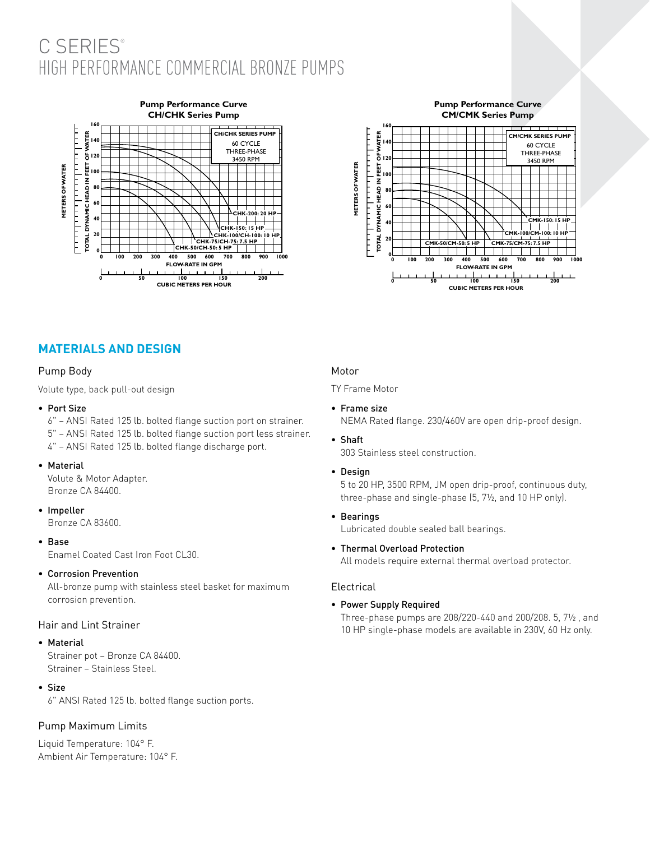# C SERIES<sup>®</sup> High Performance Commercial Bronze Pumps



#### **Pump Performance Curve CM/CMK Series Pump**



# **MATERIALS AND DESIGN**

#### Pump Body

Volute type, back pull-out design

- • Port Size
	- 6" ANSI Rated 125 lb. bolted flange suction port on strainer. 5" – ANSI Rated 125 lb. bolted flange suction port less strainer. 4" – ANSI Rated 125 lb. bolted flange discharge port.
- • Material

Volute & Motor Adapter. Bronze CA 84400.

• Impeller

Bronze CA 83600.

• Base

Enamel Coated Cast Iron Foot CL30.

• Corrosion Prevention

All-bronze pump with stainless steel basket for maximum corrosion prevention.

#### Hair and Lint Strainer

#### • Material

Strainer pot – Bronze CA 84400. Strainer – Stainless Steel.

• Size

6" ANSI Rated 125 lb. bolted flange suction ports.

#### Pump Maximum Limits

Liquid Temperature: 104° F. Ambient Air Temperature: 104° F.

#### Motor

TY Frame Motor

• Frame size

NEMA Rated flange. 230/460V are open drip-proof design.

- • Shaft
	- 303 Stainless steel construction.
- • Design

5 to 20 HP, 3500 RPM, JM open drip-proof, continuous duty, three-phase and single-phase (5, 7½, and 10 HP only).

• Bearings

Lubricated double sealed ball bearings.

• Thermal Overload Protection

All models require external thermal overload protector.

#### Electrical

• Power Supply Required

Three-phase pumps are 208/220-440 and 200/208. 5, 7½ , and 10 HP single-phase models are available in 230V, 60 Hz only.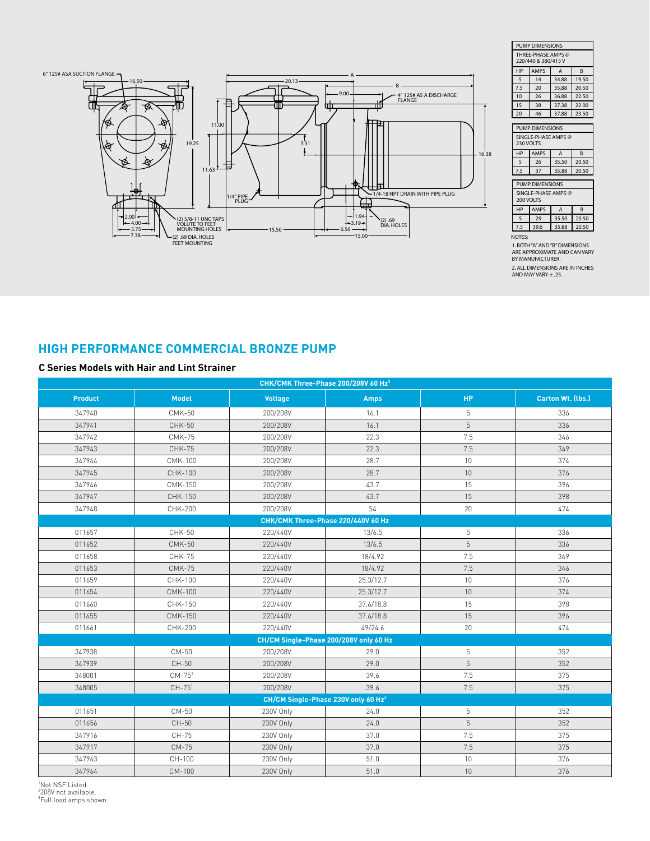![](_page_2_Figure_0.jpeg)

| PUMP DIMENSIONS                           |             |                   |              |  |  |  |  |  |
|-------------------------------------------|-------------|-------------------|--------------|--|--|--|--|--|
| THREE-PHASE AMPS @<br>220/440 & 380/415 V |             |                   |              |  |  |  |  |  |
| HP                                        | <b>AMPS</b> | A<br><sub>B</sub> |              |  |  |  |  |  |
| 5                                         | 14          | 34.88             | 19.50        |  |  |  |  |  |
| 7.5                                       | 20          | 35.88             | 20.50        |  |  |  |  |  |
| 10                                        | 26          | 36.88             | 22.50        |  |  |  |  |  |
| 15                                        | 38          | 37.38             | 22.00        |  |  |  |  |  |
| 20                                        | 46          | 37.88             | 23.50        |  |  |  |  |  |
|                                           |             |                   |              |  |  |  |  |  |
| PUMP DIMENSIONS                           |             |                   |              |  |  |  |  |  |
| SINGLE-PHASE AMPS @<br><b>230 VOLTS</b>   |             |                   |              |  |  |  |  |  |
| HP                                        | <b>AMPS</b> | A                 | <sub>R</sub> |  |  |  |  |  |
| 5                                         | 26          | 35.50             | 20.50        |  |  |  |  |  |
| 7.5                                       | 37          | 35.88             | 20.50        |  |  |  |  |  |
| PUMP DIMENSIONS                           |             |                   |              |  |  |  |  |  |
| SINGLE-PHASE AMPS @<br><b>200 VOLTS</b>   |             |                   |              |  |  |  |  |  |
| HP                                        | <b>AMPS</b> | A                 | <sub>B</sub> |  |  |  |  |  |
| 5                                         | 29          | 35.50             | 20.50        |  |  |  |  |  |
| 7.5                                       | 39.6        | 35.88             | 20.50        |  |  |  |  |  |
| $\Delta T T$                              |             |                   |              |  |  |  |  |  |

NOTES: 1. BOTH "A" AND "B" DIMENSIONS ARE APPROXIMATE AND CAN VARY BY MANUFACTURER. 2. ALL DIMENSIONS ARE IN INCHES AND MAY VARY ± .25.

# **High Performance Commercial Bronze Pump**

#### **C Series Models with Hair and Lint Strainer**

| CHK/CMK Three-Phase 200/208V 60 Hz <sup>3</sup> |                |                |             |           |                   |  |  |  |  |
|-------------------------------------------------|----------------|----------------|-------------|-----------|-------------------|--|--|--|--|
| <b>Product</b>                                  | <b>Model</b>   | <b>Voltage</b> | <b>Amps</b> | <b>HP</b> | Carton Wt. (lbs.) |  |  |  |  |
| 347940                                          | <b>CMK-50</b>  | 200/208V       | 16.1        | 5         | 336               |  |  |  |  |
| 347941                                          | <b>CHK-50</b>  | 200/208V       | 16.1        | 5         | 336               |  |  |  |  |
| 347942                                          | <b>CMK-75</b>  | 200/208V       | 22.3        | 7.5       | 346               |  |  |  |  |
| 347943                                          | <b>CHK-75</b>  | 200/208V       | 22.3        | 7.5       | 349               |  |  |  |  |
| 347944                                          | <b>CMK-100</b> | 200/208V       | 28.7        | 10        | 374               |  |  |  |  |
| 347945                                          | CHK-100        | 200/208V       | 28.7        | 10        | 376               |  |  |  |  |
| 347946                                          | CMK-150        | 200/208V       | 43.7        | 15        | 396               |  |  |  |  |
| 347947                                          | CHK-150        | 200/208V       | 43.7        | 15        | 398               |  |  |  |  |
| 347948                                          | CHK-200        | 200/208V       | 54          | 20        | 474               |  |  |  |  |
| CHK/CMK Three-Phase 220/440V 60 Hz              |                |                |             |           |                   |  |  |  |  |
| 011657                                          | <b>CHK-50</b>  | 220/440V       | 13/6.5      | 5         | 336               |  |  |  |  |
| 011652                                          | <b>CMK-50</b>  | 220/440V       | 13/6.5      | 5         | 336               |  |  |  |  |
| 011658                                          | <b>CHK-75</b>  | 220/440V       | 18/4.92     | 7.5       | 349               |  |  |  |  |
| 011653                                          | <b>CMK-75</b>  | 220/440V       | 18/4.92     | 7.5       | 346               |  |  |  |  |
| 011659                                          | CHK-100        | 220/440V       | 25.3/12.7   | 10        | 376               |  |  |  |  |
| 011654                                          | <b>CMK-100</b> | 220/440V       | 25.3/12.7   | 10        | 374               |  |  |  |  |
| 011660                                          | CHK-150        | 220/440V       | 37.6/18.8   | 15        | 398               |  |  |  |  |
| 011655                                          | <b>CMK-150</b> | 220/440V       | 37.6/18.8   | 15        | 396               |  |  |  |  |
| 011661                                          | CHK-200        | 220/440V       | 49/24.6     | 20        | 474               |  |  |  |  |
| CH/CM Single-Phase 200/208V only 60 Hz          |                |                |             |           |                   |  |  |  |  |
| 347938                                          | CM-50          | 200/208V       | 29.0        | 5         | 352               |  |  |  |  |
| 347939                                          | CH-50          | 200/208V       | 29.0        | 5         | 352               |  |  |  |  |
| 348001                                          | $CM-751$       | 200/208V       | 39.6        | 7.5       | 375               |  |  |  |  |
| 348005                                          | $CH-751$       | 200/208V       | 39.6        | 7.5       | 375               |  |  |  |  |
| CH/CM Single-Phase 230V only 60 Hz <sup>2</sup> |                |                |             |           |                   |  |  |  |  |
| 011651                                          | CM-50          | 230V Only      | 24.0        | 5         | 352               |  |  |  |  |
| 011656                                          | CH-50          | 230V Only      | 24.0        | 5         | 352               |  |  |  |  |
| 347916                                          | CH-75          | 230V Only      | 37.0        | 7.5       | 375               |  |  |  |  |
| 347917                                          | $CM-75$        | 230V Only      | 37.0        | 7.5       | 375               |  |  |  |  |
| 347963                                          | CH-100         | 230V Only      | 51.0        | $10\,$    | 376               |  |  |  |  |
| 347964                                          | CM-100         | 230V Only      | 51.0        | 10        | 376               |  |  |  |  |

'Not NSF Listed.

<sup>1</sup>Not NSF Listed.<br><sup>2</sup>208V not available.<br><sup>3</sup>Full load amps shown.